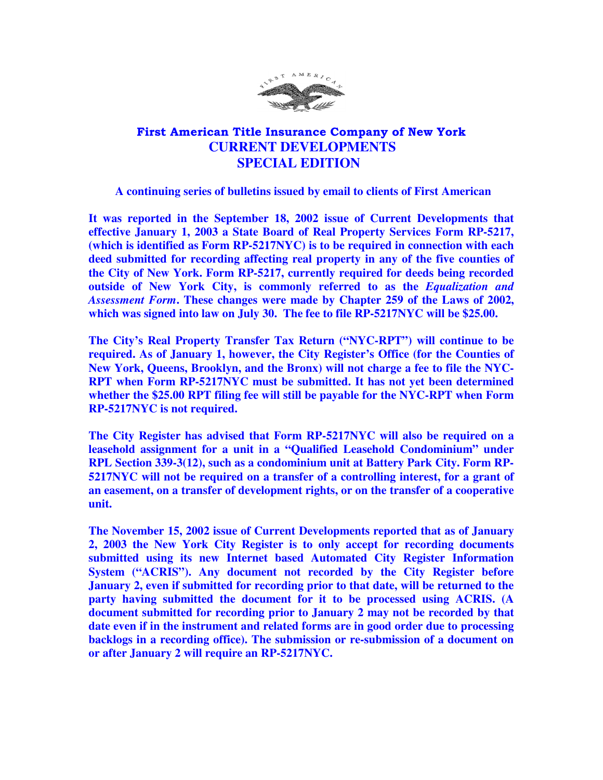

## First American Title Insurance Company of New York  **CURRENT DEVELOPMENTS SPECIAL EDITION**

## **A continuing series of bulletins issued by email to clients of First American**

**It was reported in the September 18, 2002 issue of Current Developments that effective January 1, 2003 a State Board of Real Property Services Form RP-5217, (which is identified as Form RP-5217NYC) is to be required in connection with each deed submitted for recording affecting real property in any of the five counties of the City of New York. Form RP-5217, currently required for deeds being recorded outside of New York City, is commonly referred to as the** *Equalization and Assessment Form***. These changes were made by Chapter 259 of the Laws of 2002, which was signed into law on July 30. The fee to file RP-5217NYC will be \$25.00.** 

**The City's Real Property Transfer Tax Return ("NYC-RPT") will continue to be required. As of January 1, however, the City Register's Office (for the Counties of New York, Queens, Brooklyn, and the Bronx) will not charge a fee to file the NYC-RPT when Form RP-5217NYC must be submitted. It has not yet been determined whether the \$25.00 RPT filing fee will still be payable for the NYC-RPT when Form RP-5217NYC is not required.** 

**The City Register has advised that Form RP-5217NYC will also be required on a leasehold assignment for a unit in a "Qualified Leasehold Condominium" under RPL Section 339-3(12), such as a condominium unit at Battery Park City. Form RP-5217NYC will not be required on a transfer of a controlling interest, for a grant of an easement, on a transfer of development rights, or on the transfer of a cooperative unit.** 

**The November 15, 2002 issue of Current Developments reported that as of January 2, 2003 the New York City Register is to only accept for recording documents submitted using its new Internet based Automated City Register Information System ("ACRIS"). Any document not recorded by the City Register before January 2, even if submitted for recording prior to that date, will be returned to the party having submitted the document for it to be processed using ACRIS. (A document submitted for recording prior to January 2 may not be recorded by that date even if in the instrument and related forms are in good order due to processing backlogs in a recording office). The submission or re-submission of a document on or after January 2 will require an RP-5217NYC.**